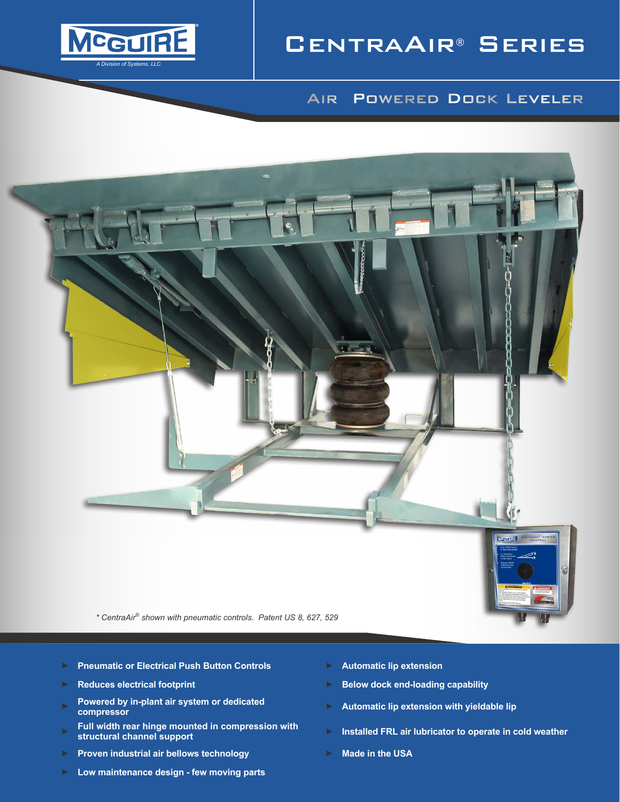

# CentraAir® Series

## Air Powered Dock Leveler



- 
- ► **Pneumatic or Electrical Push Button Controls** ► **Automatic lip extension**
- 
- ► **Powered by in-plant air system or dedicated compressor**
- ► **Full width rear hinge mounted in compression with**
- ► **Proven industrial air bellows technology** ► **Made in the USA**
- ► **Low maintenance design few moving parts**
- 
- ► **Reduces electrical footprint** ► **Below dock end-loading capability**
	- ► **Automatic lip extension with yieldable lip**
	- **structural channel support** ► **Installed FRL air lubricator to operate in cold weather**
	-